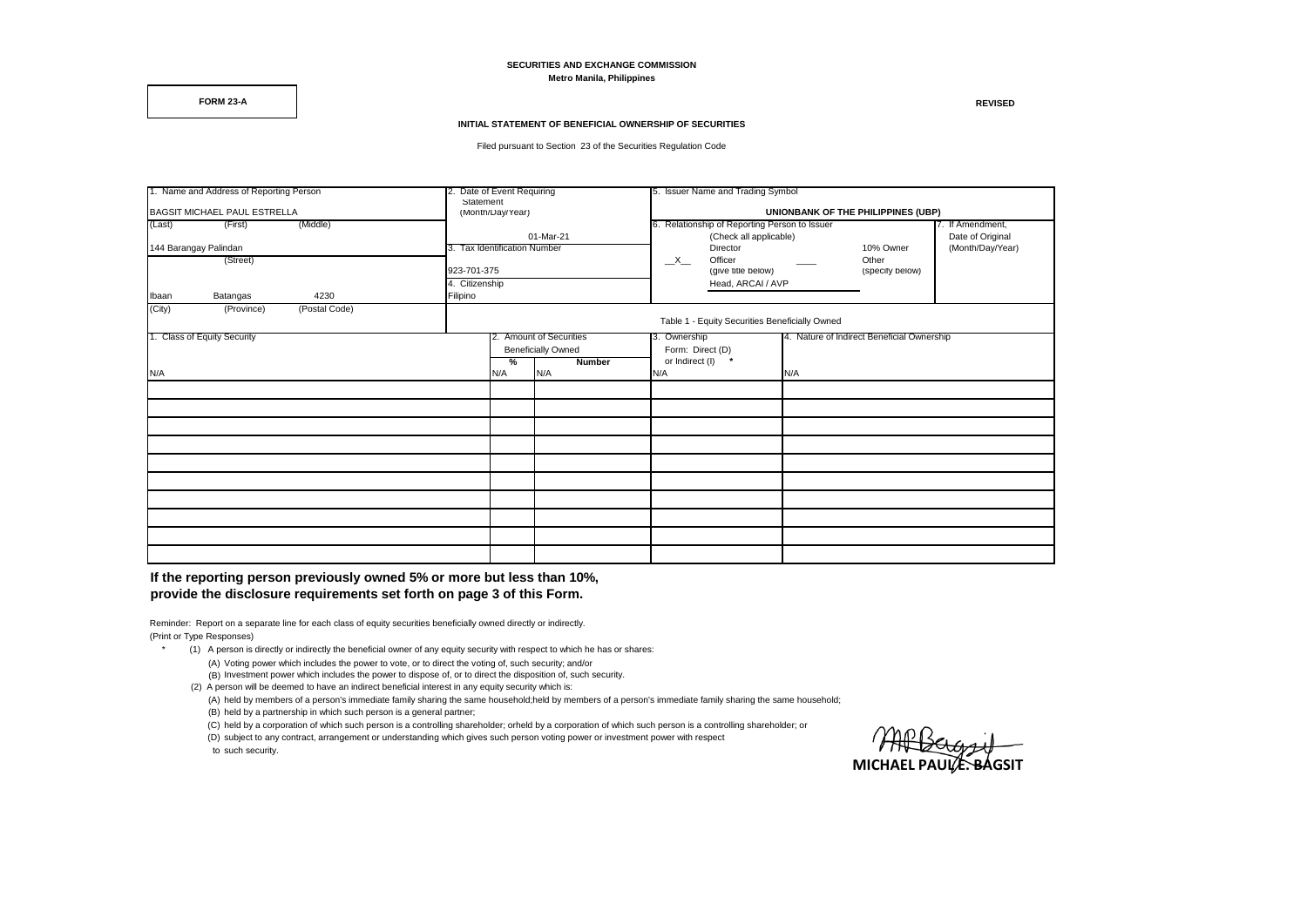**SECURITIES AND EXCHANGE COMMISSION Metro Manila, Philippines**

**FORM 23-A REVISED**

## **INITIAL STATEMENT OF BENEFICIAL OWNERSHIP OF SECURITIES**

Filed pursuant to Section 23 of the Securities Regulation Code

| 1. Name and Address of Reporting Person<br>BAGSIT MICHAEL PAUL ESTRELLA |            |               |                         | 2. Date of Event Requiring                     |               | 5. Issuer Name and Trading Symbol |                                                                   |  |                          |                  |  |  |
|-------------------------------------------------------------------------|------------|---------------|-------------------------|------------------------------------------------|---------------|-----------------------------------|-------------------------------------------------------------------|--|--------------------------|------------------|--|--|
|                                                                         |            |               |                         | Statement<br>(Month/Day/Year)                  |               |                                   | UNIONBANK OF THE PHILIPPINES (UBP)                                |  |                          |                  |  |  |
| (Middle)<br>(Last)<br>(First)                                           |            |               |                         |                                                |               |                                   | 6. Relationship of Reporting Person to Issuer<br>7. If Amendment, |  |                          |                  |  |  |
|                                                                         |            |               |                         |                                                | 01-Mar-21     |                                   | (Check all applicable)                                            |  |                          | Date of Original |  |  |
| 144 Barangay Palindan                                                   |            |               |                         | 3. Tax Identification Number                   |               |                                   | Director                                                          |  | 10% Owner                | (Month/Day/Year) |  |  |
| (Street)                                                                |            |               |                         |                                                |               |                                   | Officer                                                           |  | Other<br>(specify below) |                  |  |  |
|                                                                         |            |               |                         | 923-701-375                                    |               |                                   | (give title below)                                                |  |                          |                  |  |  |
|                                                                         |            |               | 4. Citizenship          |                                                |               | Head, ARCAI / AVP                 |                                                                   |  |                          |                  |  |  |
| Ibaan                                                                   | Batangas   | 4230          | Filipino                |                                                |               |                                   |                                                                   |  |                          |                  |  |  |
| (City)                                                                  | (Province) | (Postal Code) |                         |                                                |               |                                   |                                                                   |  |                          |                  |  |  |
|                                                                         |            |               |                         | Table 1 - Equity Securities Beneficially Owned |               |                                   |                                                                   |  |                          |                  |  |  |
| 1. Class of Equity Security                                             |            |               | 2. Amount of Securities |                                                | 3. Ownership  |                                   | 4. Nature of Indirect Beneficial Ownership                        |  |                          |                  |  |  |
|                                                                         |            |               |                         | <b>Beneficially Owned</b>                      |               | Form: Direct (D)                  |                                                                   |  |                          |                  |  |  |
|                                                                         |            |               |                         | %                                              | <b>Number</b> | or Indirect (I) *                 |                                                                   |  |                          |                  |  |  |
| N/A                                                                     |            |               | N/A                     | N/A                                            | N/A<br>N/A    |                                   |                                                                   |  |                          |                  |  |  |
|                                                                         |            |               |                         |                                                |               |                                   |                                                                   |  |                          |                  |  |  |
|                                                                         |            |               |                         |                                                |               |                                   |                                                                   |  |                          |                  |  |  |
|                                                                         |            |               |                         |                                                |               |                                   |                                                                   |  |                          |                  |  |  |
|                                                                         |            |               |                         |                                                |               |                                   |                                                                   |  |                          |                  |  |  |
|                                                                         |            |               |                         |                                                |               |                                   |                                                                   |  |                          |                  |  |  |
|                                                                         |            |               |                         |                                                |               |                                   |                                                                   |  |                          |                  |  |  |
|                                                                         |            |               |                         |                                                |               |                                   |                                                                   |  |                          |                  |  |  |
|                                                                         |            |               |                         |                                                |               |                                   |                                                                   |  |                          |                  |  |  |
|                                                                         |            |               |                         |                                                |               |                                   |                                                                   |  |                          |                  |  |  |
|                                                                         |            |               |                         |                                                |               |                                   |                                                                   |  |                          |                  |  |  |

**If the reporting person previously owned 5% or more but less than 10%, provide the disclosure requirements set forth on page 3 of this Form.** 

Reminder: Report on a separate line for each class of equity securities beneficially owned directly or indirectly. (Print or Type Responses)

- (1) A person is directly or indirectly the beneficial owner of any equity security with respect to which he has or shares:
	- (A) Voting power which includes the power to vote, or to direct the voting of, such security; and/or (B) Investment power which includes the power to dispose of, or to direct the disposition of, such security.
	- (2) A person will be deemed to have an indirect beneficial interest in any equity security which is:
	- (A) held by members of a person's immediate family sharing the same household;held by members of a person's immediate family sharing the same household;
	- (B) held by a partnership in which such person is a general partner;
	- (C) held by a corporation of which such person is a controlling shareholder; orheld by a corporation of which such person is a controlling shareholder; or
	- (D) subject to any contract, arrangement or understanding which gives such person voting power or investment power with respect

to such security.

**MICHAEL PAULE. BAGSIT**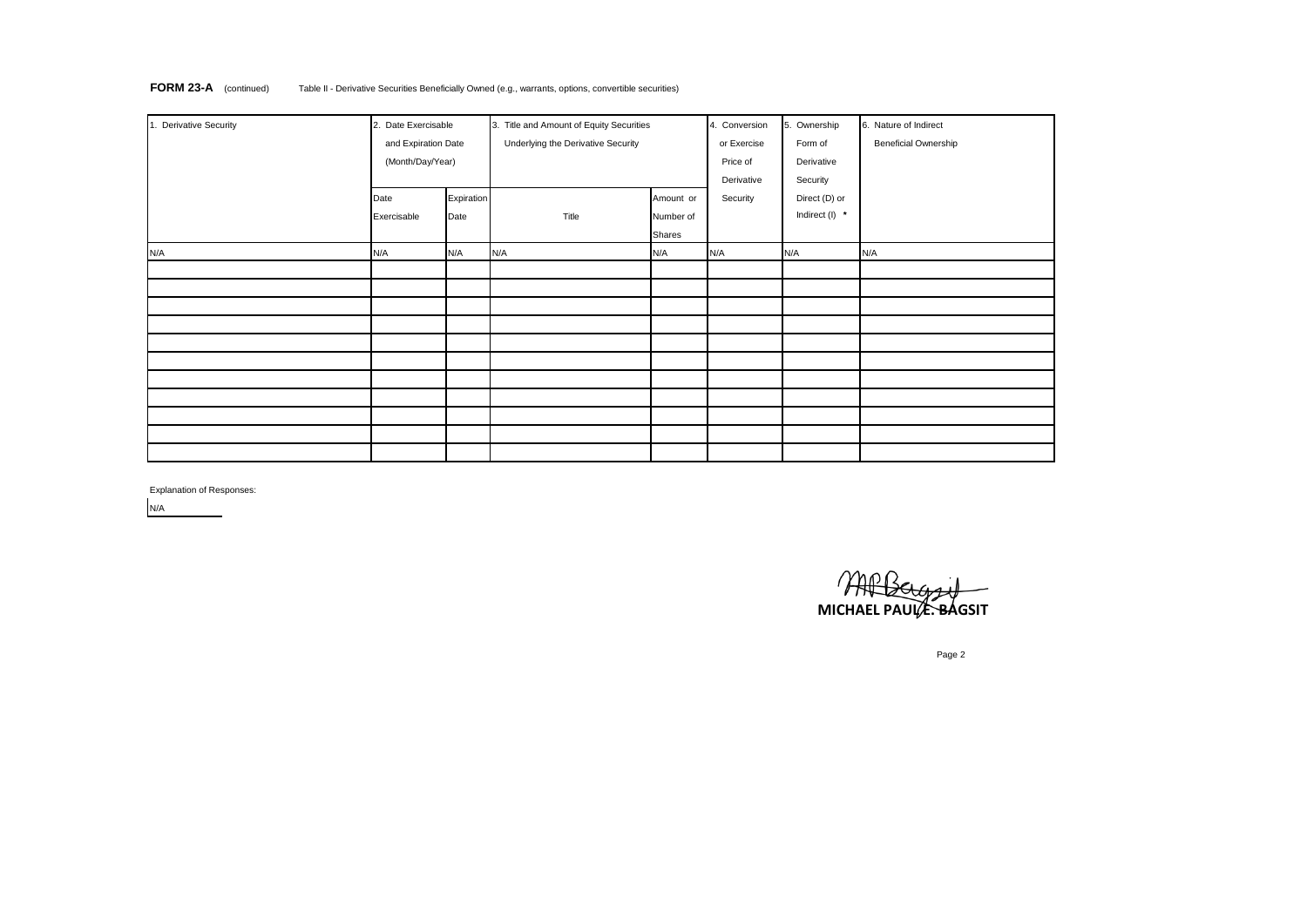| <b>FORM 23-A</b> (continued)<br>Table II - Derivative Securities Beneficially Owned (e.g., warrants, options, convertible securities) |  |
|---------------------------------------------------------------------------------------------------------------------------------------|--|
|---------------------------------------------------------------------------------------------------------------------------------------|--|

| 1. Derivative Security | 2. Date Exercisable |            | 3. Title and Amount of Equity Securities | 4. Conversion | 5. Ownership | 6. Nature of Indirect |                             |
|------------------------|---------------------|------------|------------------------------------------|---------------|--------------|-----------------------|-----------------------------|
|                        | and Expiration Date |            | Underlying the Derivative Security       |               | or Exercise  | Form of               | <b>Beneficial Ownership</b> |
|                        | (Month/Day/Year)    |            |                                          |               | Price of     | Derivative            |                             |
|                        |                     |            |                                          |               | Derivative   | Security              |                             |
|                        | Date                | Expiration |                                          | Amount or     | Security     | Direct (D) or         |                             |
|                        | Exercisable         | Date       | Title                                    | Number of     |              | Indirect (I) *        |                             |
|                        |                     |            |                                          | Shares        |              |                       |                             |
| N/A                    | N/A                 | N/A        | N/A                                      | N/A           | N/A          | N/A                   | N/A                         |
|                        |                     |            |                                          |               |              |                       |                             |
|                        |                     |            |                                          |               |              |                       |                             |
|                        |                     |            |                                          |               |              |                       |                             |
|                        |                     |            |                                          |               |              |                       |                             |
|                        |                     |            |                                          |               |              |                       |                             |
|                        |                     |            |                                          |               |              |                       |                             |
|                        |                     |            |                                          |               |              |                       |                             |
|                        |                     |            |                                          |               |              |                       |                             |
|                        |                     |            |                                          |               |              |                       |                             |
|                        |                     |            |                                          |               |              |                       |                             |
|                        |                     |            |                                          |               |              |                       |                             |

Explanation of Responses:

N/A

**MICHAEL PAULE BAGSIT** 

Page 2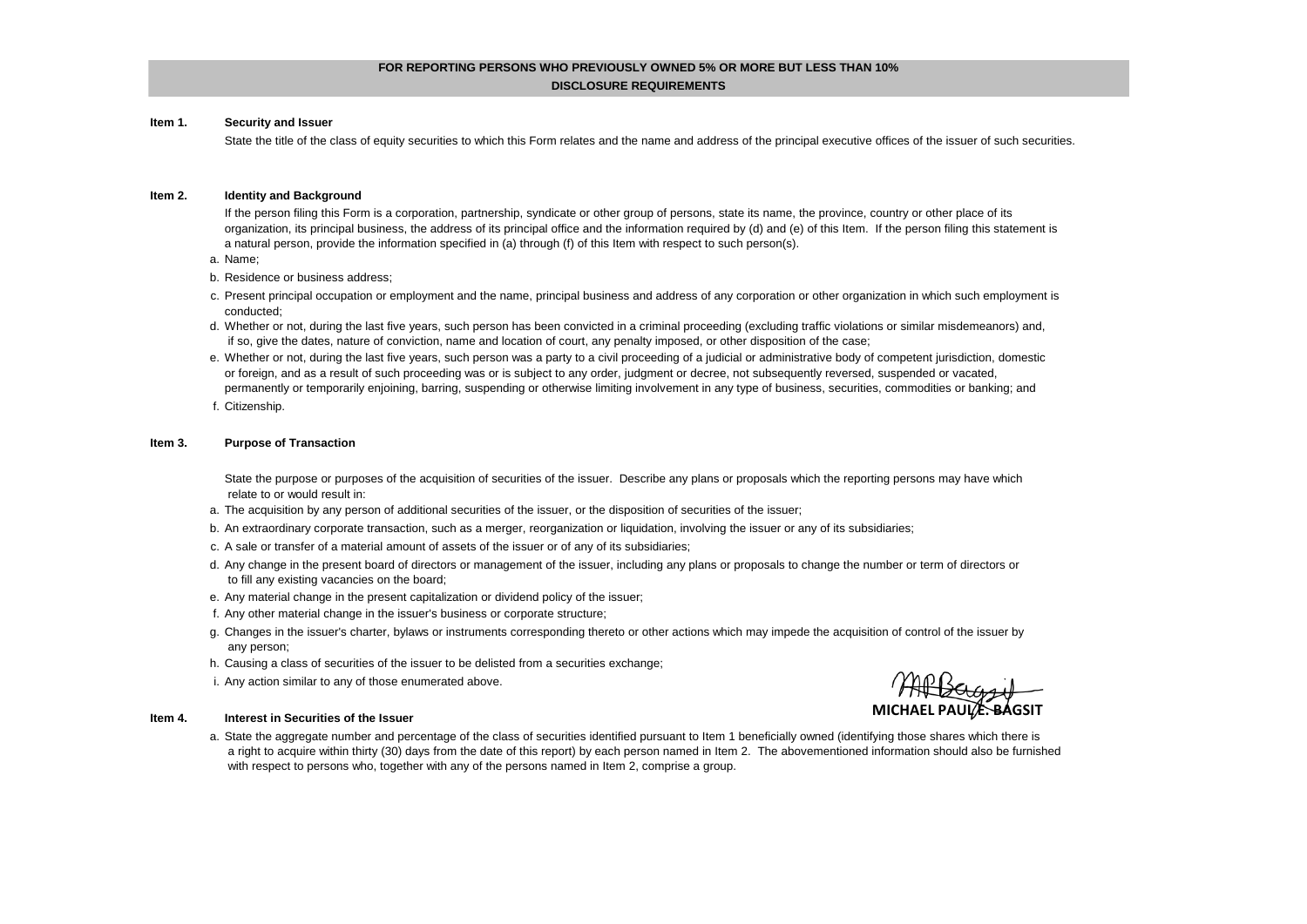# **FOR REPORTING PERSONS WHO PREVIOUSLY OWNED 5% OR MORE BUT LESS THAN 10%**

## **DISCLOSURE REQUIREMENTS**

#### **Item 1. Security and Issuer**

State the title of the class of equity securities to which this Form relates and the name and address of the principal executive offices of the issuer of such securities.

#### **Item 2. Identity and Background**

If the person filing this Form is a corporation, partnership, syndicate or other group of persons, state its name, the province, country or other place of its organization, its principal business, the address of its principal office and the information required by (d) and (e) of this Item. If the person filing this statement is a natural person, provide the information specified in (a) through (f) of this Item with respect to such person(s).

- a. Name;
- b. Residence or business address;
- c. Present principal occupation or employment and the name, principal business and address of any corporation or other organization in which such employment is conducted;
- d. Whether or not, during the last five years, such person has been convicted in a criminal proceeding (excluding traffic violations or similar misdemeanors) and, if so, give the dates, nature of conviction, name and location of court, any penalty imposed, or other disposition of the case;
- e. Whether or not, during the last five years, such person was a party to a civil proceeding of a judicial or administrative body of competent jurisdiction, domestic or foreign, and as a result of such proceeding was or is subject to any order, judgment or decree, not subsequently reversed, suspended or vacated, permanently or temporarily enjoining, barring, suspending or otherwise limiting involvement in any type of business, securities, commodities or banking; and
- f. Citizenship.

#### **Item 3. Purpose of Transaction**

State the purpose or purposes of the acquisition of securities of the issuer. Describe any plans or proposals which the reporting persons may have which relate to or would result in:

- a. The acquisition by any person of additional securities of the issuer, or the disposition of securities of the issuer;
- b. An extraordinary corporate transaction, such as a merger, reorganization or liquidation, involving the issuer or any of its subsidiaries;
- c. A sale or transfer of a material amount of assets of the issuer or of any of its subsidiaries;
- d. Any change in the present board of directors or management of the issuer, including any plans or proposals to change the number or term of directors or to fill any existing vacancies on the board;
- e. Any material change in the present capitalization or dividend policy of the issuer;
- f. Any other material change in the issuer's business or corporate structure;
- g. Changes in the issuer's charter, bylaws or instruments corresponding thereto or other actions which may impede the acquisition of control of the issuer by any person;
- h. Causing a class of securities of the issuer to be delisted from a securities exchange;
- i. Any action similar to any of those enumerated above.

# **MICHAEL PAUL E. BAGSIT**

#### **Item 4. Interest in Securities of the Issuer**

a. State the aggregate number and percentage of the class of securities identified pursuant to Item 1 beneficially owned (identifying those shares which there is a right to acquire within thirty (30) days from the date of this report) by each person named in Item 2. The abovementioned information should also be furnished with respect to persons who, together with any of the persons named in Item 2, comprise a group.